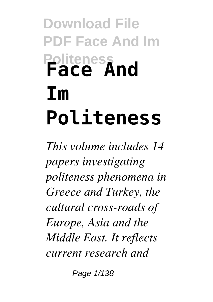## **Download File PDF Face And Im Politeness Face And Im Politeness**

*This volume includes 14 papers investigating politeness phenomena in Greece and Turkey, the cultural cross-roads of Europe, Asia and the Middle East. It reflects current research and*

Page  $1/138$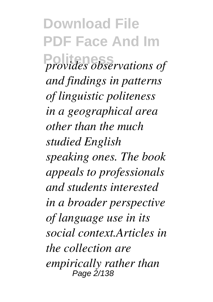**Download File PDF Face And Im Politeness** *provides observations of and findings in patterns of linguistic politeness in a geographical area other than the much studied English speaking ones. The book appeals to professionals and students interested in a broader perspective of language use in its social context.Articles in the collection are empirically rather than* Page 2/138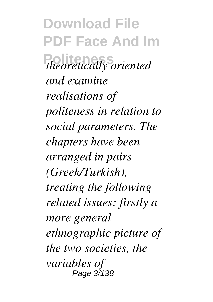**Download File PDF Face And Im Politeness** *theoretically oriented and examine realisations of politeness in relation to social parameters. The chapters have been arranged in pairs (Greek/Turkish), treating the following related issues: firstly a more general ethnographic picture of the two societies, the variables of* Page 3/138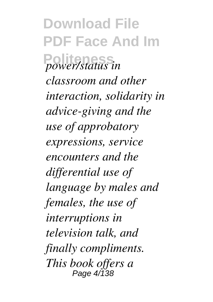**Download File PDF Face And Im Politeness** *power/status in classroom and other interaction, solidarity in advice-giving and the use of approbatory expressions, service encounters and the differential use of language by males and females, the use of interruptions in television talk, and finally compliments. This book offers a* Page 4/138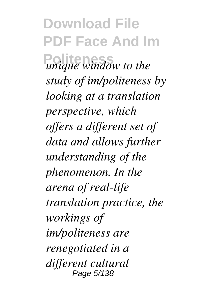**Download File PDF Face And Im** *Political unique window to the study of im/politeness by looking at a translation perspective, which offers a different set of data and allows further understanding of the phenomenon. In the arena of real-life translation practice, the workings of im/politeness are renegotiated in a different cultural* Page 5/138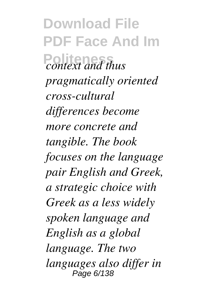**Download File PDF Face And Im Politeness** *context and thus pragmatically oriented cross-cultural differences become more concrete and tangible. The book focuses on the language pair English and Greek, a strategic choice with Greek as a less widely spoken language and English as a global language. The two languages also differ in* Page 6/138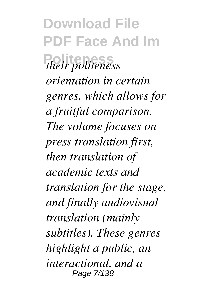**Download File PDF Face And Im Politeness** *their politeness orientation in certain genres, which allows for a fruitful comparison. The volume focuses on press translation first, then translation of academic texts and translation for the stage, and finally audiovisual translation (mainly subtitles). These genres highlight a public, an interactional, and a* Page 7/138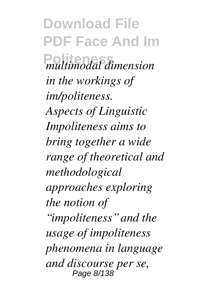**Download File PDF Face And Im Politeness** *multimodal dimension in the workings of im/politeness. Aspects of Linguistic Impoliteness aims to bring together a wide range of theoretical and methodological approaches exploring the notion of "impoliteness" and the usage of impoliteness phenomena in language and discourse per se,* Page 8/138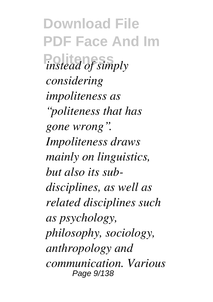**Download File PDF Face And Im** *instead of simply considering impoliteness as "politeness that has gone wrong". Impoliteness draws mainly on linguistics, but also its subdisciplines, as well as related disciplines such as psychology, philosophy, sociology, anthropology and communication. Various* Page 9/138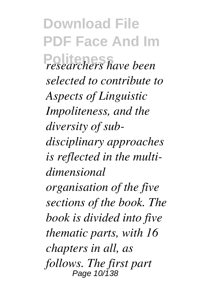**Download File PDF Face And Im Politeness** *researchers have been selected to contribute to Aspects of Linguistic Impoliteness, and the diversity of subdisciplinary approaches is reflected in the multidimensional organisation of the five sections of the book. The book is divided into five thematic parts, with 16 chapters in all, as follows. The first part* Page 10/138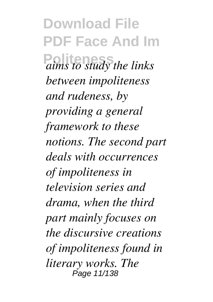**Download File PDF Face And Im Politeness** *aims to study the links between impoliteness and rudeness, by providing a general framework to these notions. The second part deals with occurrences of impoliteness in television series and drama, when the third part mainly focuses on the discursive creations of impoliteness found in literary works. The* Page 11/138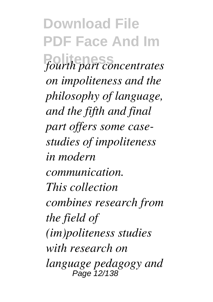**Download File PDF Face And Im**  $fourth$  part concentrates *on impoliteness and the philosophy of language, and the fifth and final part offers some casestudies of impoliteness in modern communication. This collection combines research from the field of (im)politeness studies with research on language pedagogy and* Page 12/138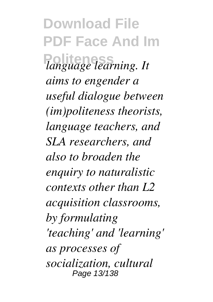**Download File PDF Face And Im Politeness** *language learning. It aims to engender a useful dialogue between (im)politeness theorists, language teachers, and SLA researchers, and also to broaden the enquiry to naturalistic contexts other than L2 acquisition classrooms, by formulating 'teaching' and 'learning' as processes of socialization, cultural* Page 13/138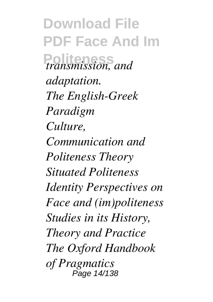**Download File PDF Face And Im Politeness** *transmission, and adaptation. The English-Greek Paradigm Culture, Communication and Politeness Theory Situated Politeness Identity Perspectives on Face and (im)politeness Studies in its History, Theory and Practice The Oxford Handbook of Pragmatics* Page 14/138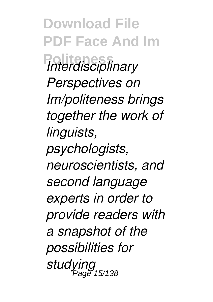**Download File PDF Face And Im Politeness** *Interdisciplinary Perspectives on Im/politeness brings together the work of linguists, psychologists, neuroscientists, and second language experts in order to provide readers with a snapshot of the possibilities for studying*  $\frac{9}{6}$ 15/138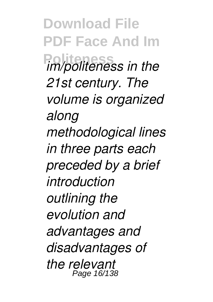**Download File PDF Face And Im Politeness** *im/politeness in the 21st century. The volume is organized along methodological lines in three parts each preceded by a brief introduction outlining the evolution and advantages and disadvantages of the relevant* Page 16/138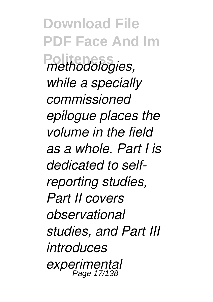**Download File PDF Face And Im**  $P$ *methodologies, while a specially commissioned epilogue places the volume in the field as a whole. Part I is dedicated to selfreporting studies, Part II covers observational studies, and Part III introduces experimental* Page 17/138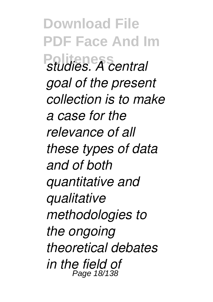**Download File PDF Face And Im Politeness** *studies. A central goal of the present collection is to make a case for the relevance of all these types of data and of both quantitative and qualitative methodologies to the ongoing theoretical debates in the field of* Page 18/138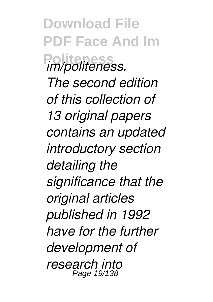**Download File PDF Face And Im Politeness** *im/politeness. The second edition of this collection of 13 original papers contains an updated introductory section detailing the significance that the original articles published in 1992 have for the further development of research into* Page 19/138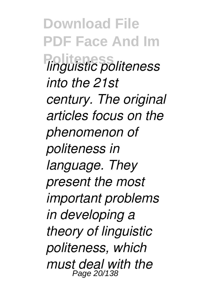**Download File PDF Face And Im Politeness** *linguistic politeness into the 21st century. The original articles focus on the phenomenon of politeness in language. They present the most important problems in developing a theory of linguistic politeness, which must deal with the* Page 20/138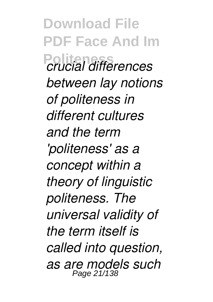**Download File PDF Face And Im Politeness** *crucial differences between lay notions of politeness in different cultures and the term 'politeness' as a concept within a theory of linguistic politeness. The universal validity of the term itself is called into question, as are models such* Page 21/138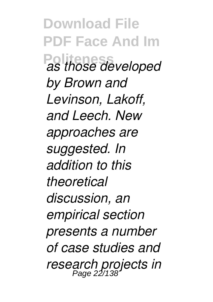**Download File PDF Face And Im Politeness** *as those developed by Brown and Levinson, Lakoff, and Leech. New approaches are suggested. In addition to this theoretical discussion, an empirical section presents a number of case studies and research projects in* Page 22/138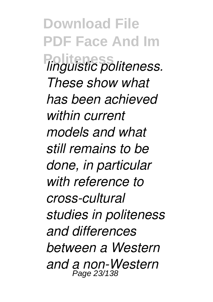**Download File PDF Face And Im Politeness** *linguistic politeness. These show what has been achieved within current models and what still remains to be done, in particular with reference to cross-cultural studies in politeness and differences between a Western and a non-Western* Page 23/138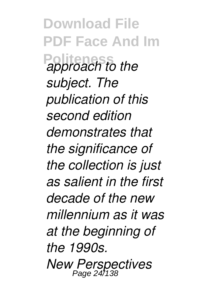**Download File PDF Face And Im Politeness** *approach to the subject. The publication of this second edition demonstrates that the significance of the collection is just as salient in the first decade of the new millennium as it was at the beginning of the 1990s. New Perspectives* Page 24/138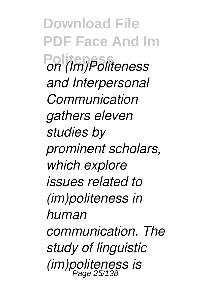**Download File PDF Face And Im Politeness** *on (Im)Politeness and Interpersonal Communication gathers eleven studies by prominent scholars, which explore issues related to (im)politeness in human communication. The study of linguistic (im)politeness is* Page 25/138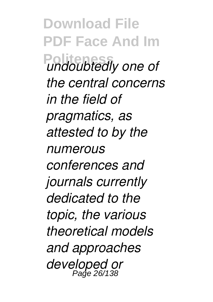**Download File PDF Face And Im Politeness** *undoubtedly one of the central concerns in the field of pragmatics, as attested to by the numerous conferences and journals currently dedicated to the topic, the various theoretical models and approaches developed or* Page 26/138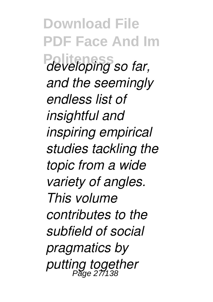**Download File PDF Face And Im Politeness** *developing so far, and the seemingly endless list of insightful and inspiring empirical studies tackling the topic from a wide variety of angles. This volume contributes to the subfield of social pragmatics by putting together* Page 27/138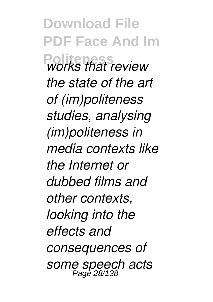**Download File PDF Face And Im Politeness** *works that review the state of the art of (im)politeness studies, analysing (im)politeness in media contexts like the Internet or dubbed films and other contexts, looking into the effects and consequences of some speech acts* Page 28/138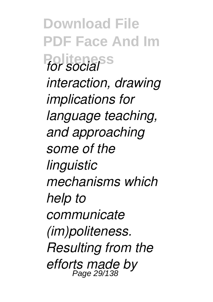**Download File PDF Face And Im Politeness** *for social interaction, drawing implications for language teaching, and approaching some of the linguistic mechanisms which help to communicate (im)politeness. Resulting from the efforts made by* Page 29/138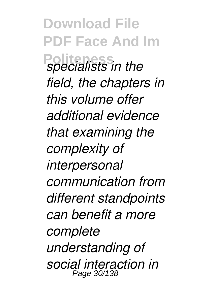**Download File PDF Face And Im Politicalists in the** *field, the chapters in this volume offer additional evidence that examining the complexity of interpersonal communication from different standpoints can benefit a more complete understanding of social interaction in* Page 30/138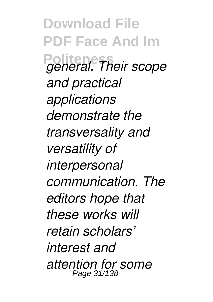**Download File PDF Face And Im Politeness** *general. Their scope and practical applications demonstrate the transversality and versatility of interpersonal communication. The editors hope that these works will retain scholars' interest and attention for some* Page 31/138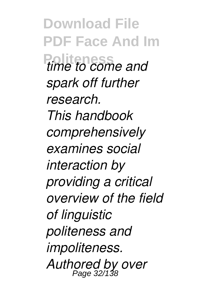**Download File PDF Face And Im** *<u>time</u> to come and spark off further research. This handbook comprehensively examines social interaction by providing a critical overview of the field of linguistic politeness and impoliteness. Authored by over* Page 32/138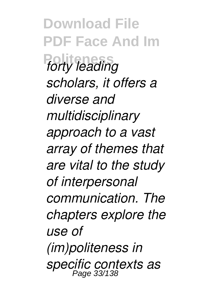**Download File PDF Face And Im**  $forty$  *leading scholars, it offers a diverse and multidisciplinary approach to a vast array of themes that are vital to the study of interpersonal communication. The chapters explore the use of (im)politeness in specific contexts as* Page 33/138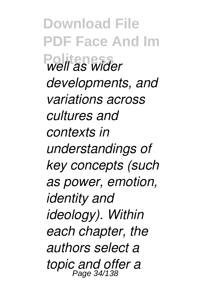**Download File PDF Face And Im Politeness** *well as wider developments, and variations across cultures and contexts in understandings of key concepts (such as power, emotion, identity and ideology). Within each chapter, the authors select a topic and offer a* Page 34/138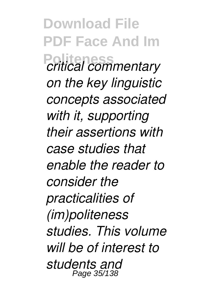**Download File PDF Face And Im Politeness** *critical commentary on the key linguistic concepts associated with it, supporting their assertions with case studies that enable the reader to consider the practicalities of (im)politeness studies. This volume will be of interest to students and* Page 35/138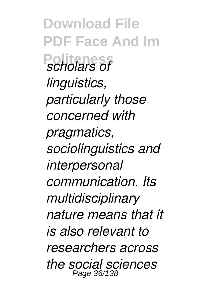**Download File PDF Face And Im Politeness** *scholars of linguistics, particularly those concerned with pragmatics, sociolinguistics and interpersonal communication. Its multidisciplinary nature means that it is also relevant to researchers across the social sciences* Page 36/138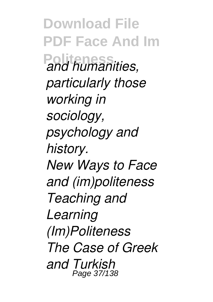**Download File PDF Face And Im Pand humanities,** *particularly those working in sociology, psychology and history. New Ways to Face and (im)politeness Teaching and Learning (Im)Politeness The Case of Greek and Turkish* Page 37/138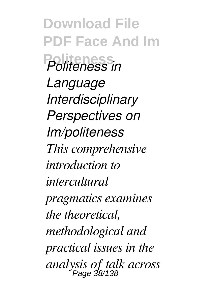**Download File PDF Face And Im Politeness** *Politeness in Language Interdisciplinary Perspectives on Im/politeness This comprehensive introduction to intercultural pragmatics examines the theoretical, methodological and practical issues in the analysis of talk across* Page 38/138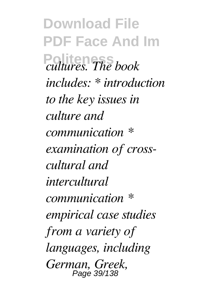**Download File PDF Face And Im Politeness** *cultures. The book includes: \* introduction to the key issues in culture and communication \* examination of crosscultural and intercultural communication \* empirical case studies from a variety of languages, including German, Greek,* Page 39/138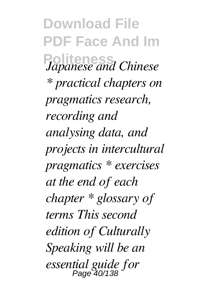**Download File PDF Face And Im Politeness** *Japanese and Chinese \* practical chapters on pragmatics research, recording and analysing data, and projects in intercultural pragmatics \* exercises at the end of each chapter \* glossary of terms This second edition of Culturally Speaking will be an essential guide for* Page 40/138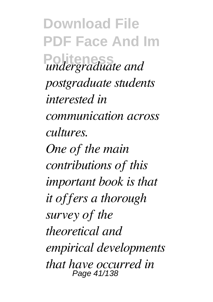**Download File PDF Face And Im Politeness** *undergraduate and postgraduate students interested in communication across cultures. One of the main contributions of this important book is that it offers a thorough survey of the theoretical and empirical developments that have occurred in* Page 41/138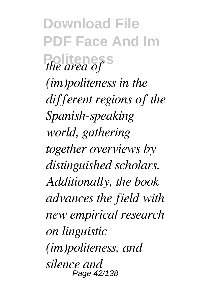**Download File PDF Face And Im Politeness** *the area of (im)politeness in the different regions of the Spanish-speaking world, gathering together overviews by distinguished scholars. Additionally, the book advances the field with new empirical research on linguistic (im)politeness, and silence and* Page 42/138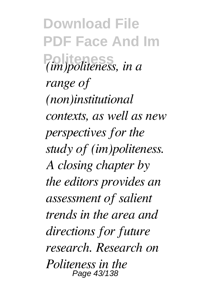**Download File PDF Face And Im Politeness** *(im)politeness, in a range of (non)institutional contexts, as well as new perspectives for the study of (im)politeness. A closing chapter by the editors provides an assessment of salient trends in the area and directions for future research. Research on Politeness in the* Page 43/138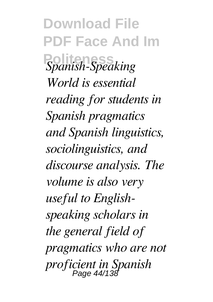**Download File PDF Face And Im**  $S$ *panish-Speaking World is essential reading for students in Spanish pragmatics and Spanish linguistics, sociolinguistics, and discourse analysis. The volume is also very useful to Englishspeaking scholars in the general field of pragmatics who are not proficient in Spanish* Page 44/138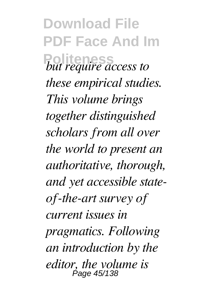**Download File PDF Face And Im** *Political <i>but require access to these empirical studies. This volume brings together distinguished scholars from all over the world to present an authoritative, thorough, and yet accessible stateof-the-art survey of current issues in pragmatics. Following an introduction by the editor, the volume is* Page 45/138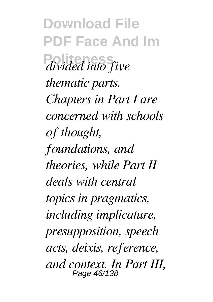**Download File PDF Face And Im Politeness** *divided into five thematic parts. Chapters in Part I are concerned with schools of thought, foundations, and theories, while Part II deals with central topics in pragmatics, including implicature, presupposition, speech acts, deixis, reference, and context. In Part III,* Page 46/138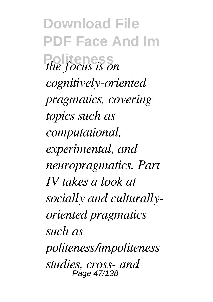**Download File PDF Face And Im Politeness** *the focus is on cognitively-oriented pragmatics, covering topics such as computational, experimental, and neuropragmatics. Part IV takes a look at socially and culturallyoriented pragmatics such as politeness/impoliteness studies, cross- and* Page 47/138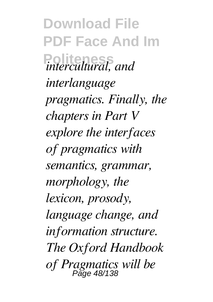**Download File PDF Face And Im Politeness** *intercultural, and interlanguage pragmatics. Finally, the chapters in Part V explore the interfaces of pragmatics with semantics, grammar, morphology, the lexicon, prosody, language change, and information structure. The Oxford Handbook of Pragmatics will be* Page 48/138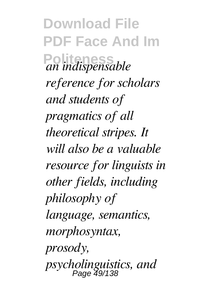**Download File PDF Face And Im**  $\alpha$ <sup>*an*</sup> *indispensable reference for scholars and students of pragmatics of all theoretical stripes. It will also be a valuable resource for linguists in other fields, including philosophy of language, semantics, morphosyntax, prosody, psycholinguistics, and* Page 49/138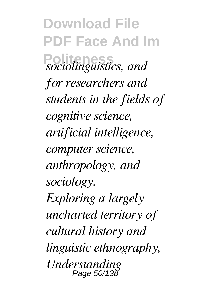**Download File PDF Face And Im Political** *sociolinguistics*, and *for researchers and students in the fields of cognitive science, artificial intelligence, computer science, anthropology, and sociology. Exploring a largely uncharted territory of cultural history and linguistic ethnography, Understanding* Page 50/138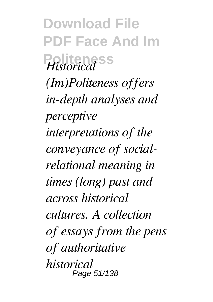**Download File PDF Face And Im Politeness** *Historical (Im)Politeness offers in-depth analyses and perceptive interpretations of the conveyance of socialrelational meaning in times (long) past and across historical cultures. A collection of essays from the pens of authoritative historical* Page 51/138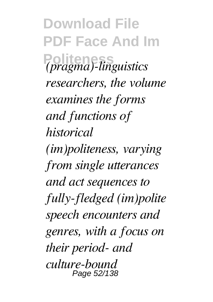**Download File PDF Face And Im Politeness** *(pragma)-linguistics researchers, the volume examines the forms and functions of historical (im)politeness, varying from single utterances and act sequences to fully-fledged (im)polite speech encounters and genres, with a focus on their period- and culture-bound* Page 52/138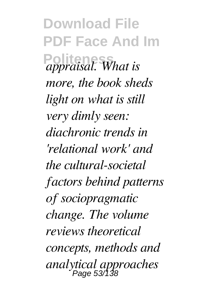**Download File PDF Face And Im Politeness** *appraisal. What is more, the book sheds light on what is still very dimly seen: diachronic trends in 'relational work' and the cultural-societal factors behind patterns of sociopragmatic change. The volume reviews theoretical concepts, methods and analytical approaches* Page 53/138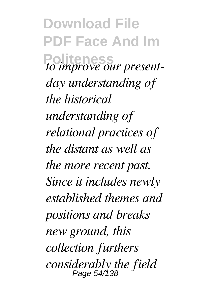**Download File PDF Face And Im Politeness** *to improve our presentday understanding of the historical understanding of relational practices of the distant as well as the more recent past. Since it includes newly established themes and positions and breaks new ground, this collection furthers considerably the field* Page 54/138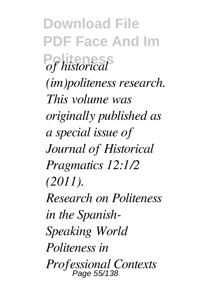**Download File PDF Face And Im**  $\partial f$  *historical (im)politeness research. This volume was originally published as a special issue of Journal of Historical Pragmatics 12:1/2 (2011). Research on Politeness in the Spanish-Speaking World Politeness in Professional Contexts* Page 55/138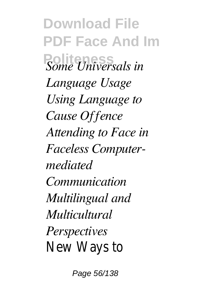**Download File PDF Face And Im Politeness** *Some Universals in Language Usage Using Language to Cause Offence Attending to Face in Faceless Computermediated Communication Multilingual and Multicultural Perspectives* New Ways to

Page 56/138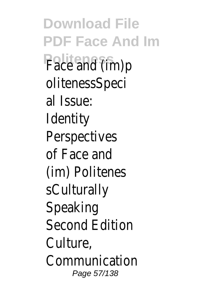**Download File PDF Face And Im Politeness** Face and (im)p olitenessSpeci al Issue: Identity Perspectives of Face and (im) Politenes sCulturally Speaking Second Edition Culture, Communication Page 57/138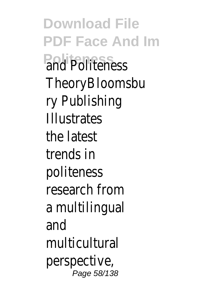**Download File PDF Face And Im Politeness** and Politeness **TheoryBloomsbu** ry Publishing Illustrates the latest trends in politeness research from a multilingual and multicultural perspective, Page 58/138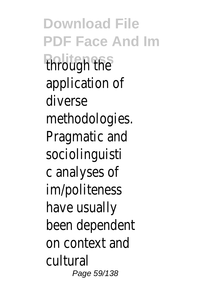**Download File PDF Face And Im Politeness** through the application of diverse methodologies. Pragmatic and sociolinguisti c analyses of im/politeness have usually been dependent on context and cultural Page 59/138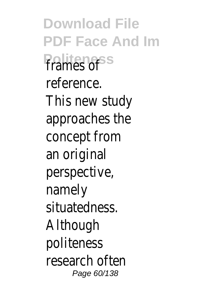**Download File PDF Face And Im Politeness** frames of reference. This new study approaches the concept from an original perspective, namely situatedness. Although politeness research often Page 60/138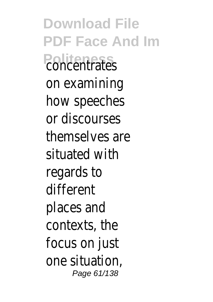**Download File PDF Face And Im Politeness** concentrates on examining how speeches or discourses themselves are situated with regards to different places and contexts, the focus on just one situation, Page 61/138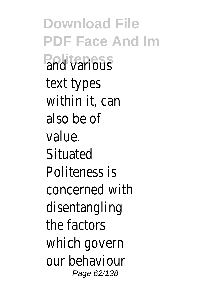**Download File PDF Face And Im Politeness** and various text types within it, can also be of value. **Situated** Politeness is concerned with disentangling the factors which govern our behaviour Page 62/138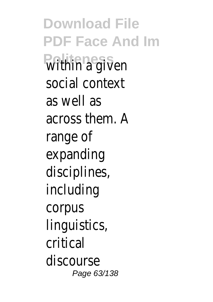**Download File PDF Face And Im** within a given social context as well as across them. A range of expanding disciplines, including corpus linguistics, critical discourse Page 63/138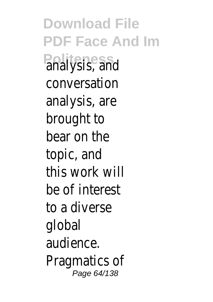**Download File PDF Face And Im Politeness** analysis, and conversation analysis, are brought to bear on the topic, and this work will be of interest to a diverse global audience. Pragmatics of Page 64/138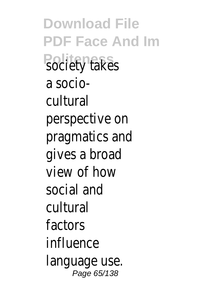**Download File PDF Face And Im Political** society takes a sociocultural perspective on pragmatics and gives a broad view of how social and cultural factors influence language use. Page 65/138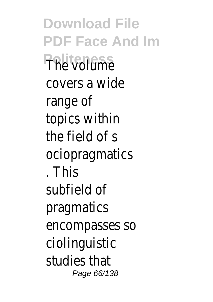**Download File PDF Face And Im Politeness** The volume covers a wide range of topics within the field of s ociopragmatics . This subfield of pragmatics encompasses so ciolinguistic studies that Page 66/138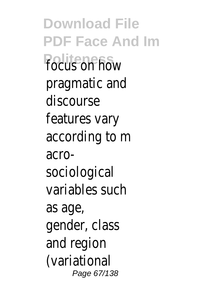**Download File PDF Face And Im Politeness** focus on how pragmatic and discourse features vary according to m acrosociological variables such as age, gender, class and region (variational Page 67/138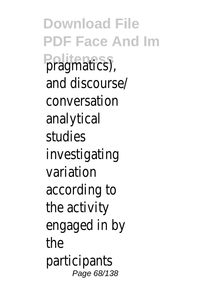**Download File PDF Face And Im** pragmatics). and discourse/ conversation analytical studies investigating variation according to the activity engaged in by the participants Page 68/138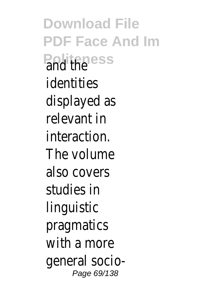**Download File PDF Face And Im Politaness** identities displayed as relevant in interaction. The volume also covers studies in linguistic pragmatics with a more general socio-Page 69/138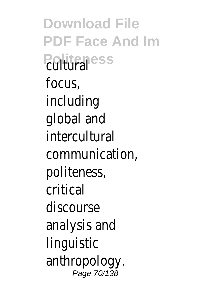**Download File PDF Face And Im Politeness** focus, including global and intercultural communication, politeness, critical discourse analysis and linguistic anthropology. Page 70/138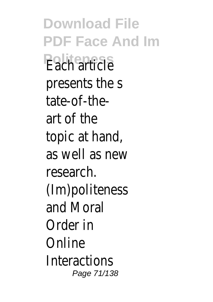**Download File PDF Face And Im Politeness** Each article presents the s tate-of-theart of the topic at hand, as well as new research. (Im)politeness and Moral Order in Online **Interactions** Page 71/138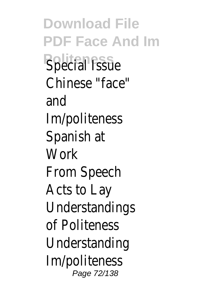**Download File PDF Face And Im Special Issue** Chinese "face" and Im/politeness Spanish at **Work** From Speech Acts to Lay Understandings of Politeness Understanding Im/politeness Page 72/138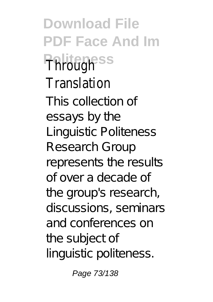**Download File PDF Face And Im Politeness** Through Translation

This collection of essays by the Linguistic Politeness Research Group represents the results of over a decade of the group's research, discussions, seminars and conferences on the subject of linguistic politeness.

Page 73/138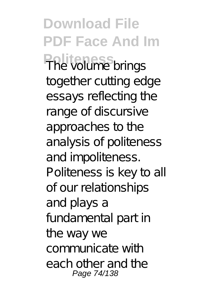**Download File PDF Face And Im Politeness** The volume brings together cutting edge essays reflecting the range of discursive approaches to the analysis of politeness and impoliteness. Politeness is key to all of our relationships and plays a fundamental part in the way we communicate with each other and the Page 74/138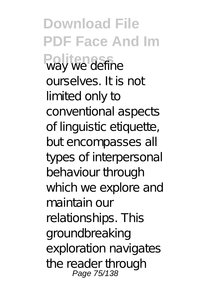**Download File PDF Face And Im Politeness** way we define ourselves. It is not limited only to conventional aspects of linguistic etiquette, but encompasses all types of interpersonal behaviour through which we explore and maintain our relationships. This groundbreaking exploration navigates the reader through Page 75/138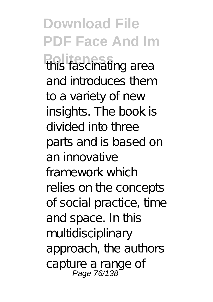**Download File PDF Face And Im Politeness** in this fascinating area and introduces them to a variety of new insights. The book is divided into three parts and is based on an innovative framework which relies on the concepts of social practice, time and space. In this multidisciplinary approach, the authors capture a range of<br>Page 76/138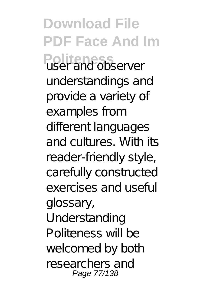**Download File PDF Face And Im Politeness** user and observer understandings and provide a variety of examples from different languages and cultures. With its reader-friendly style, carefully constructed exercises and useful glossary, Understanding Politeness will be welcomed by both researchers and Page 77/138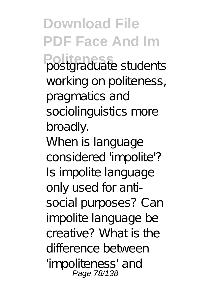**Download File PDF Face And Im Politeness** postgraduate students working on politeness, pragmatics and sociolinguistics more broadly. When is language considered 'impolite'? Is impolite language only used for antisocial purposes? Can impolite language be creative? What is the difference between 'impoliteness' and Page 78/138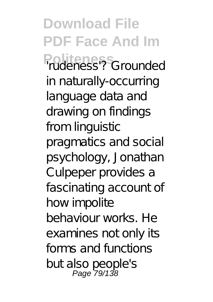**Download File PDF Face And Im Politeness** 'rudeness'? Grounded in naturally-occurring language data and drawing on findings from linguistic pragmatics and social psychology, Jonathan Culpeper provides a fascinating account of how impolite behaviour works. He examines not only its forms and functions but also people's Page 79/138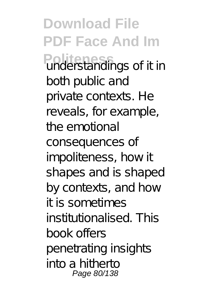**Download File PDF Face And Im Politeness** understandings of it in both public and private contexts. He reveals, for example, the emotional consequences of impoliteness, how it shapes and is shaped by contexts, and how it is sometimes institutionalised. This book offers penetrating insights into a hitherto Page 80/138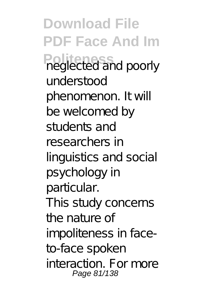**Download File PDF Face And Im Producted and poorly** understood phenomenon. It will be welcomed by students and researchers in linguistics and social psychology in particular. This study concerns the nature of impoliteness in faceto-face spoken interaction. For more Page 81/138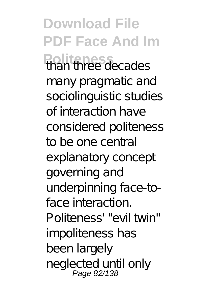**Download File PDF Face And Im Politeness** than three decades many pragmatic and sociolinguistic studies of interaction have considered politeness to be one central explanatory concept governing and underpinning face-toface interaction. Politeness' "evil twin" impoliteness has been largely neglected until only<br>Page 82/138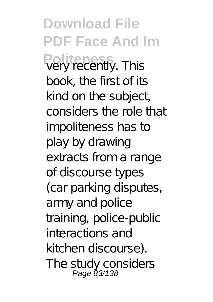**Download File PDF Face And Im** Poly recently. This book, the first of its kind on the subject, considers the role that impoliteness has to play by drawing extracts from a range of discourse types (car parking disputes, army and police training, police-public interactions and kitchen discourse). The study considers Page 83/138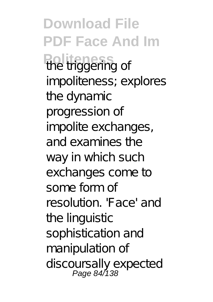**Download File PDF Face And Im Political** triggering of impoliteness; explores the dynamic progression of impolite exchanges, and examines the way in which such exchanges come to some form of resolution. 'Face' and the linguistic sophistication and manipulation of discoursally expected<br>Page 84/138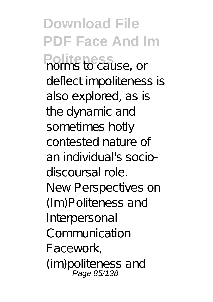**Download File PDF Face And Im Politeness** norms to cause, or deflect impoliteness is also explored, as is the dynamic and sometimes hotly contested nature of an individual's sociodiscoursal role. New Perspectives on (Im)Politeness and Interpersonal Communication Facework, (im)politeness and Page 85/138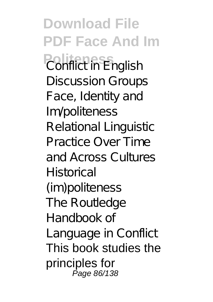**Download File PDF Face And Im Politeness** Conflict in English Discussion Groups Face, Identity and Im/politeness Relational Linguistic Practice Over Time and Across Cultures Historical (im)politeness The Routledge Handbook of Language in Conflict This book studies the principles for Page 86/138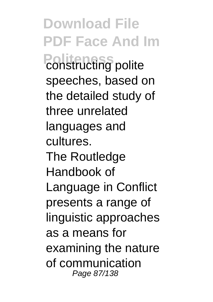**Download File PDF Face And Im Politecting** polite speeches, based on the detailed study of three unrelated languages and cultures. The Routledge Handbook of Language in Conflict presents a range of linguistic approaches as a means for examining the nature of communication Page 87/138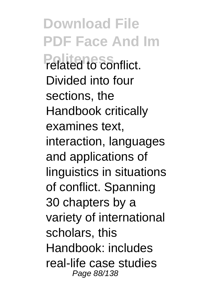**Download File PDF Face And Im Politeness** related to conflict. Divided into four sections, the Handbook critically examines text, interaction, languages and applications of linguistics in situations of conflict. Spanning 30 chapters by a variety of international scholars, this Handbook: includes real-life case studies Page 88/138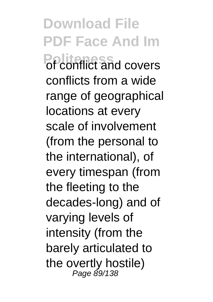**Download File PDF Face And Im Politeness** of conflict and covers conflicts from a wide range of geographical locations at every scale of involvement (from the personal to the international), of every timespan (from the fleeting to the decades-long) and of varying levels of intensity (from the barely articulated to the overtly hostile) Page 89/138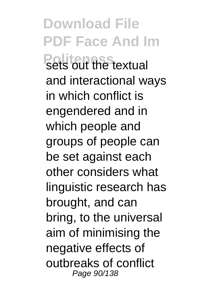**Download File PDF Face And Im Politeness** sextual and interactional ways in which conflict is engendered and in which people and groups of people can be set against each other considers what linguistic research has brought, and can bring, to the universal aim of minimising the negative effects of outbreaks of conflict Page 90/138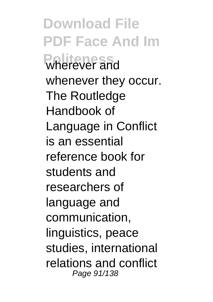**Download File PDF Face And Im Politeness** wherever and whenever they occur. The Routledge Handbook of Language in Conflict is an essential reference book for students and researchers of language and communication, linguistics, peace studies, international relations and conflict Page 91/138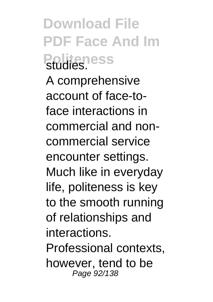**Download File PDF Face And Im Politeness** A comprehensive account of face-toface interactions in commercial and noncommercial service encounter settings. Much like in everyday life, politeness is key to the smooth running of relationships and interactions. Professional contexts, however, tend to be Page 92/138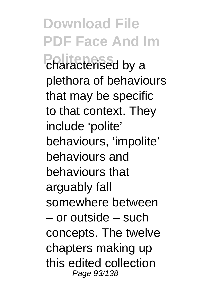**Download File PDF Face And Im Political** characterised by a plethora of behaviours that may be specific to that context. They include 'polite' behaviours, 'impolite' behaviours and behaviours that arguably fall somewhere between – or outside – such concepts. The twelve chapters making up this edited collection Page 93/138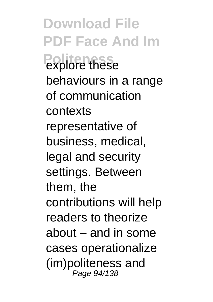**Download File PDF Face And Im** explore these behaviours in a range of communication contexts representative of business, medical, legal and security settings. Between them, the contributions will help readers to theorize about – and in some cases operationalize (im)politeness and Page 94/138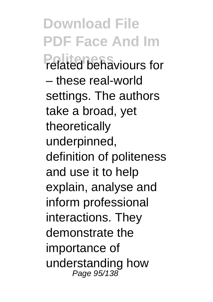**Download File PDF Face And Im Politeness** related behaviours for – these real-world settings. The authors take a broad, yet theoretically underpinned, definition of politeness and use it to help explain, analyse and inform professional interactions. They demonstrate the importance of understanding how Page 95/138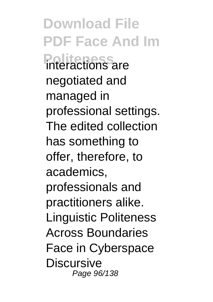**Download File PDF Face And Im Politeness** interactions are negotiated and managed in professional settings. The edited collection has something to offer, therefore, to academics, professionals and practitioners alike. Linguistic Politeness Across Boundaries Face in Cyberspace **Discursive** Page 96/138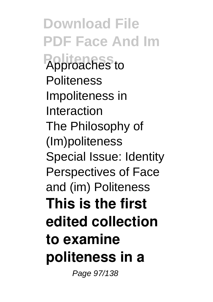**Download File PDF Face And Im Politeness** Approaches to **Politeness** Impoliteness in Interaction The Philosophy of (Im)politeness Special Issue: Identity Perspectives of Face and (im) Politeness **This is the first edited collection to examine politeness in a**

Page 97/138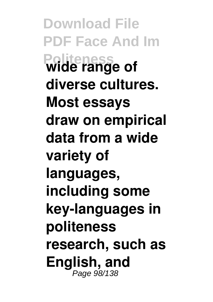**Download File PDF Face And Im Politeness wide range of diverse cultures. Most essays draw on empirical data from a wide variety of languages, including some key-languages in politeness research, such as English, and** Page 98/138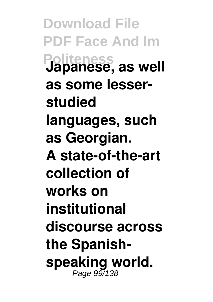**Download File PDF Face And Im Politeness Japanese, as well as some lesserstudied languages, such as Georgian. A state-of-the-art collection of works on institutional discourse across the Spanish**speaking world.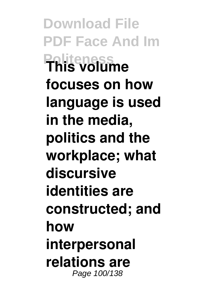**Download File PDF Face And Im Politeness This volume focuses on how language is used in the media, politics and the workplace; what discursive identities are constructed; and how interpersonal relations are** Page 100/138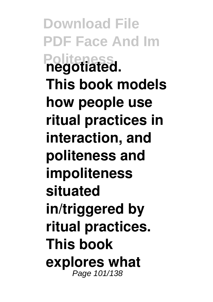**Download File PDF Face And Im Politeral This book models how people use ritual practices in interaction, and politeness and impoliteness situated in/triggered by ritual practices. This book explores what** Page 101/138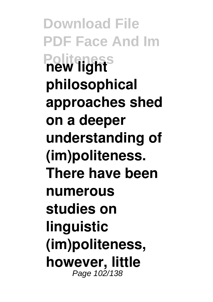**Download File PDF Face And Im Politeness new light philosophical approaches shed on a deeper understanding of (im)politeness. There have been numerous studies on linguistic (im)politeness, however, little** Page 102/138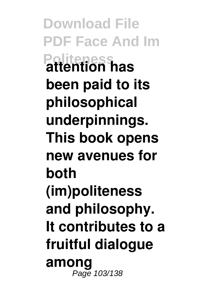**Download File PDF Face And Im Politeness attention has been paid to its philosophical underpinnings. This book opens new avenues for both (im)politeness and philosophy. It contributes to a fruitful dialogue among** Page 103/138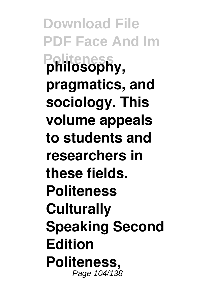**Download File PDF Face And Im Politeness philosophy, pragmatics, and sociology. This volume appeals to students and researchers in these fields. Politeness Culturally Speaking Second Edition Politeness,** Page 104/138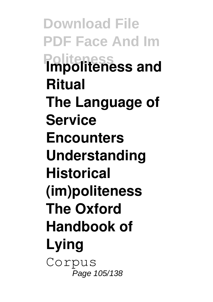**Download File PDF Face And Im Politeness Impoliteness and Ritual The Language of Service Encounters Understanding Historical (im)politeness The Oxford Handbook of Lying** Corpus Page 105/138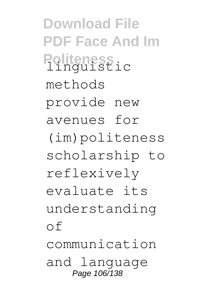**Download File PDF Face And Im Politeness** ic methods provide new avenues for (im)politeness scholarship to reflexively evaluate its understanding of communication and language Page 106/138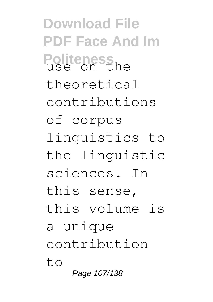**Download File PDF Face And Im Politeness**<br>use on the theoretical contributions of corpus linguistics to the linguistic sciences. In this sense, this volume is a unique contribution to Page 107/138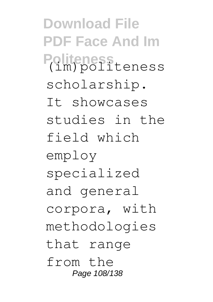**Download File PDF Face And Im Politeness** (im)politeness scholarship. It showcases studies in the field which employ specialized and general corpora, with methodologies that range from the Page 108/138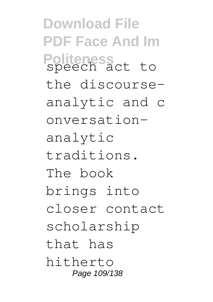**Download File PDF Face And Im Politeness** speech act to the discourseanalytic and c onversationanalytic traditions. The book brings into closer contact scholarship that has hitherto Page 109/138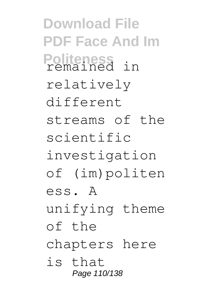**Download File PDF Face And Im Politeness** remained in relatively different streams of the scientific investigation of (im)politen ess. A unifying theme of the chapters here is that Page 110/138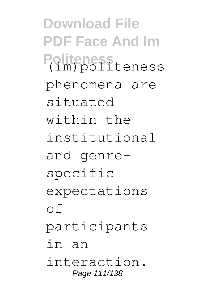**Download File PDF Face And Im Politeness** (im)politeness phenomena are situated within the institutional and genrespecific expectations of participants in an interaction. Page 111/138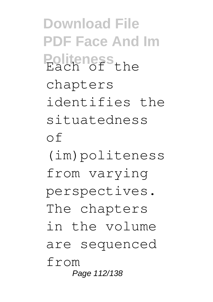**Download File PDF Face And Im Politeness** chapters identifies the situatedness of (im)politeness from varying perspectives. The chapters in the volume are sequenced from Page 112/138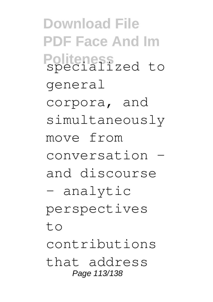**Download File PDF Face And Im Politeness** specialized to general corpora, and simultaneously move from conversation – and discourse – analytic perspectives  $t \circ$ contributions that address Page 113/138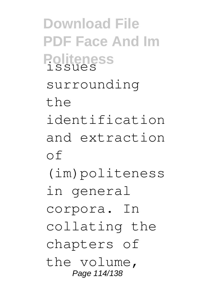**Download File PDF Face And Im Politeness** issues surrounding the identification and extraction of (im)politeness in general corpora. In collating the chapters of the volume, Page 114/138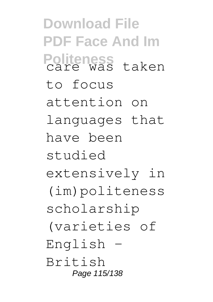**Download File PDF Face And Im Politeness** care was taken to focus attention on languages that have been studied extensively in (im)politeness scholarship (varieties of English – British Page 115/138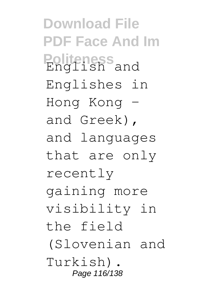**Download File PDF Face And Im Politeness**<br>English and Englishes in Hong Kong – and Greek), and languages that are only recently gaining more visibility in the field (Slovenian and Turkish). Page 116/138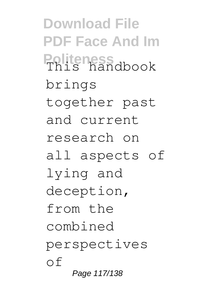**Download File PDF Face And Im Politeness**<br>This handbook brings together past and current research on all aspects of lying and deception, from the combined perspectives of Page 117/138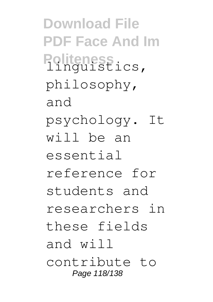**Download File PDF Face And Im** Politeness<br>linguistics, philosophy, and psychology. It will be an essential reference for students and researchers in these fields and will contribute to Page 118/138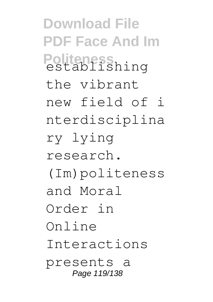**Download File PDF Face And Im** Politeness<br>establishing the vibrant new field of i nterdisciplina ry lying research. (Im)politeness and Moral Order in Online Interactions presents a Page 119/138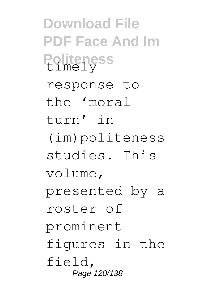**Download File PDF Face And Im Politeness** response to the 'moral turn' in (im)politeness studies. This volume, presented by a roster of prominent figures in the field, Page 120/138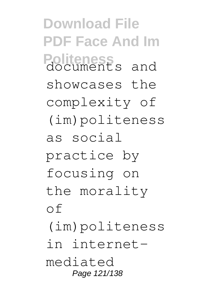**Download File PDF Face And Im Politeness** and showcases the complexity of (im)politeness as social practice by focusing on the morality of (im)politeness in internetmediated Page 121/138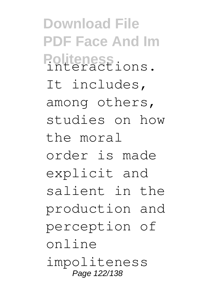**Download File PDF Face And Im Politeness** interactions. It includes, among others, studies on how the moral order is made explicit and salient in the production and perception of online impoliteness Page 122/138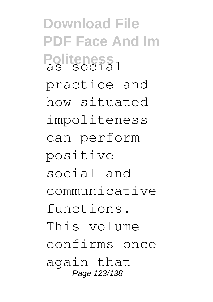**Download File PDF Face And Im** Politeness<br>as social practice and how situated impoliteness can perform positive social and communicative functions. This volume confirms once again that Page 123/138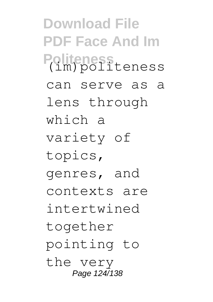**Download File PDF Face And Im Politeness** (im)politeness can serve as a lens through which a variety of topics, genres, and contexts are intertwined together pointing to the very Page 124/138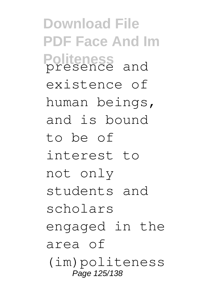**Download File PDF Face And Im Politeness** presence and existence of human beings, and is bound to be of interest to not only students and scholars engaged in the area of (im)politeness Page 125/138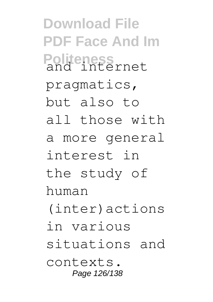**Download File PDF Face And Im Politeness** and internet pragmatics, but also to all those with a more general interest in the study of human (inter)actions in various situations and contexts. Page 126/138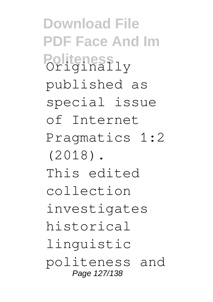**Download File PDF Face And Im Politeness**<br>Originally published as special issue of Internet Pragmatics 1:2 (2018). This edited collection investigates historical linguistic politeness and Page 127/138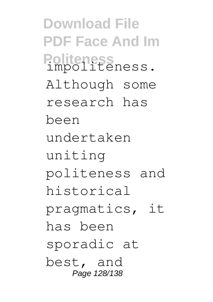**Download File PDF Face And Im Politeness** impoliteness. Although some research has been undertaken uniting politeness and historical pragmatics, it has been sporadic at best, and Page 128/138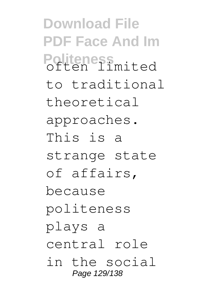**Download File PDF Face And Im Politeness**<br>often limited to traditional theoretical approaches. This is a strange state of affairs, because politeness plays a central role in the social Page 129/138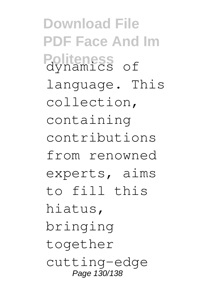**Download File PDF Face And Im Politeness** of language. This collection, containing contributions from renowned experts, aims to fill this hiatus, bringing together cutting-edge Page 130/138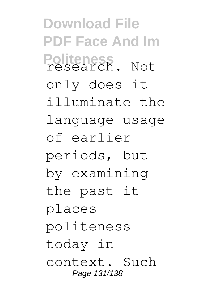**Download File PDF Face And Im Politeness** research. Not only does it illuminate the language usage of earlier periods, but by examining the past it places politeness today in context. Such Page 131/138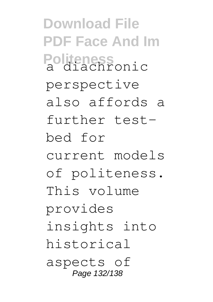**Download File PDF Face And Im Politeness** a diachronic perspective also affords a further testbed for current models of politeness. This volume provides insights into historical aspects of Page 132/138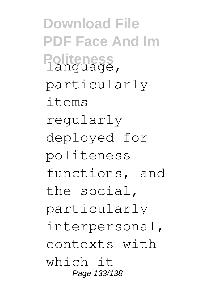**Download File PDF Face And Im** Politeness<br>language, particularly items regularly deployed for politeness functions, and the social, particularly interpersonal, contexts with which it Page 133/138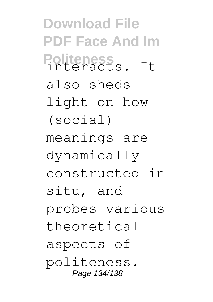**Download File PDF Face And Im** Politeness<br>interacts. It also sheds light on how (social) meanings are dynamically constructed in situ, and probes various theoretical aspects of politeness. Page 134/138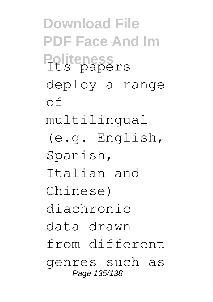**Download File PDF Face And Im Politeness**<br>Its papers deploy a range of multilingual (e.g. English, Spanish, Italian and Chinese) diachronic data drawn from different genres such as Page 135/138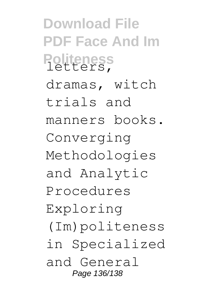**Download File PDF Face And Im Politeness** letters, dramas, witch trials and manners books. Converging Methodologies and Analytic Procedures Exploring (Im)politeness in Specialized and General Page 136/138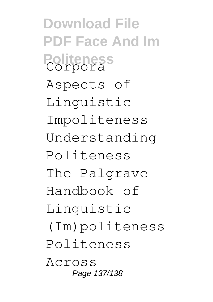**Download File PDF Face And Im Politeness** Corpora Aspects of Linguistic Impoliteness Understanding Politeness The Palgrave Handbook of Linguistic (Im)politeness Politeness Across Page 137/138